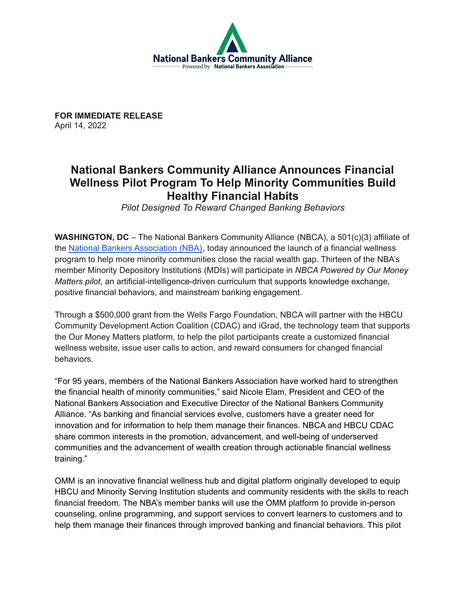

**FOR IMMEDIATE RELEASE** April 14, 2022

## **National Bankers Community Alliance Announces Financial Wellness Pilot Program To Help Minority Communities Build Healthy Financial Habits**

*Pilot Designed To Reward Changed Banking Behaviors*

**WASHINGTON, DC** – The National Bankers Community Alliance (NBCA), a 501(c)(3) affiliate of the National Bankers [Association](https://www.nationalbankers.org/) (NBA), today announced the launch of a financial wellness program to help more minority communities close the racial wealth gap. Thirteen of the NBA's member Minority Depository Institutions (MDIs) will participate in *NBCA Powered by Our Money Matters pilot*, an artificial-intelligence-driven curriculum that supports knowledge exchange, positive financial behaviors, and mainstream banking engagement.

Through a \$500,000 grant from the Wells Fargo Foundation, NBCA will partner with the HBCU Community Development Action Coalition (CDAC) and iGrad, the technology team that supports the Our Money Matters platform, to help the pilot participants create a customized financial wellness website, issue user calls to action, and reward consumers for changed financial behaviors.

"For 95 years, members of the National Bankers Association have worked hard to strengthen the financial health of minority communities," said Nicole Elam, President and CEO of the National Bankers Association and Executive Director of the National Bankers Community Alliance. "As banking and financial services evolve, customers have a greater need for innovation and for information to help them manage their finances. NBCA and HBCU CDAC share common interests in the promotion, advancement, and well-being of underserved communities and the advancement of wealth creation through actionable financial wellness training."

OMM is an innovative financial wellness hub and digital platform originally developed to equip HBCU and Minority Serving Institution students and community residents with the skills to reach financial freedom. The NBA's member banks will use the OMM platform to provide in-person counseling, online programming, and support services to convert learners to customers and to help them manage their finances through improved banking and financial behaviors. This pilot